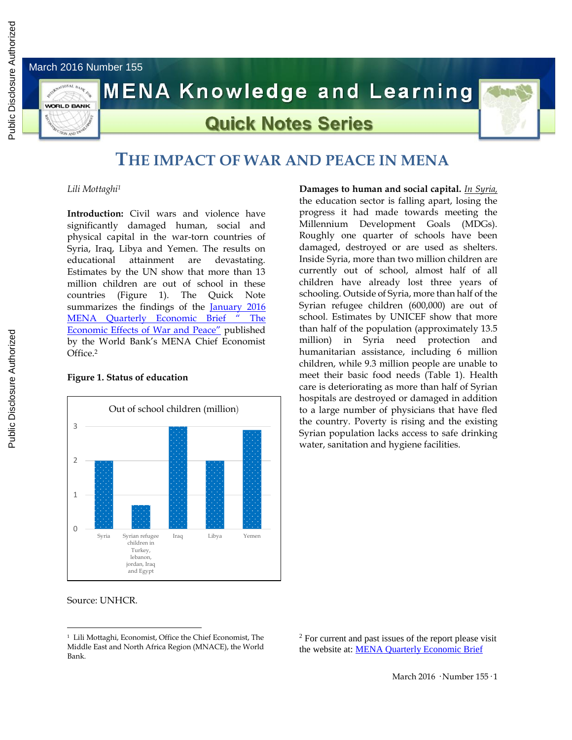March 2016 Number 155



# **MENA Knowledge and Learning**

## **Quick Notes Series**



### **THE IMPACT OF WAR AND PEACE IN MENA**

*Lili Mottaghi 1*

**Introduction:** Civil wars and violence have significantly damaged human, social and physical capital in the war-torn countries of Syria, Iraq, Libya and Yemen. The results on educational attainment are devastating. Estimates by the UN show that more than 13 million children are out of school in these countries (Figure 1). The Quick Note summarizes the findings of the January 2016 [MENA Quarterly Economic Brief](http://documents.worldbank.org/curated/en/2016/02/25842959/economic-effects-war-peace) " The [Economic Effects of War and Peace"](http://documents.worldbank.org/curated/en/2016/02/25842959/economic-effects-war-peace) published by the World Bank's MENA Chief Economist  $Office<sup>2</sup>$ 

### **Figure 1. Status of education**



the education sector is falling apart, losing the progress it had made towards meeting the Millennium Development Goals (MDGs). Roughly one quarter of schools have been damaged, destroyed or are used as shelters. Inside Syria, more than two million children are currently out of school, almost half of all children have already lost three years of schooling. Outside of Syria, more than half of the Syrian refugee children (600,000) are out of school. Estimates by UNICEF show that more than half of the population (approximately 13.5 million) in Syria need protection and humanitarian assistance, including 6 million children, while 9.3 million people are unable to meet their basic food needs (Table 1). Health care is deteriorating as more than half of Syrian hospitals are destroyed or damaged in addition to a large number of physicians that have fled the country. Poverty is rising and the existing Syrian population lacks access to safe drinking water, sanitation and hygiene facilities.

**Damages to human and social capital.** *In Syria,*

Source: UNHCR.

 $\overline{a}$ <sup>1</sup> Lili Mottaghi, Economist, Office the Chief Economist, The Middle East and North Africa Region (MNACE), the World Bank.

 $2$  For current and past issues of the report please visit the website at[: MENA Quarterly Economic Brief](http://www.worldbank.org/en/region/mena/publication/mena-quarterly-economic-brief)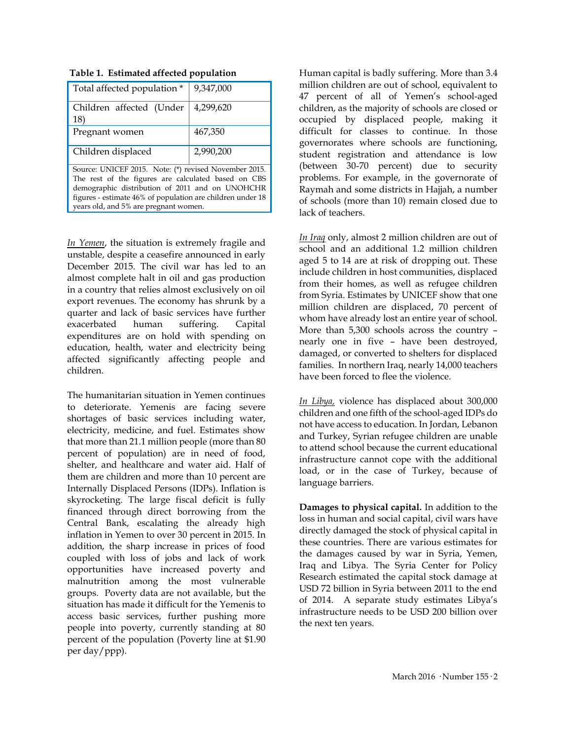| Total affected population *                                | 9,347,000 |  |  |  |
|------------------------------------------------------------|-----------|--|--|--|
| Children affected (Under<br>18)                            | 4,299,620 |  |  |  |
| Pregnant women                                             | 467,350   |  |  |  |
| Children displaced                                         | 2,990,200 |  |  |  |
| Source: UNICEF 2015. Note: (*) revised November 2015.      |           |  |  |  |
| The rest of the figures are calculated based on CBS        |           |  |  |  |
| demographic distribution of 2011 and on UNOHCHR            |           |  |  |  |
| figures - estimate 46% of population are children under 18 |           |  |  |  |
| years old, and 5% are pregnant women.                      |           |  |  |  |

| Table 1. Estimated affected population |
|----------------------------------------|
|----------------------------------------|

*In Yemen*, the situation is extremely fragile and unstable, despite a ceasefire announced in early December 2015. The civil war has led to an almost complete halt in oil and gas production in a country that relies almost exclusively on oil export revenues. The economy has shrunk by a quarter and lack of basic services have further exacerbated human suffering. Capital expenditures are on hold with spending on education, health, water and electricity being affected significantly affecting people and children.

The humanitarian situation in Yemen continues to deteriorate. Yemenis are facing severe shortages of basic services including water, electricity, medicine, and fuel. Estimates show that more than 21.1 million people (more than 80 percent of population) are in need of food, shelter, and healthcare and water aid. Half of them are children and more than 10 percent are Internally Displaced Persons (IDPs). Inflation is skyrocketing. The large fiscal deficit is fully financed through direct borrowing from the Central Bank, escalating the already high inflation in Yemen to over 30 percent in 2015. In addition, the sharp increase in prices of food coupled with loss of jobs and lack of work opportunities have increased poverty and malnutrition among the most vulnerable groups. Poverty data are not available, but the situation has made it difficult for the Yemenis to access basic services, further pushing more people into poverty, currently standing at 80 percent of the population (Poverty line at \$1.90 per day/ppp).

Human capital is badly suffering. More than 3.4 million children are out of school, equivalent to 47 percent of all of Yemen's school-aged children, as the majority of schools are closed or occupied by displaced people, making it difficult for classes to continue. In those governorates where schools are functioning, student registration and attendance is low (between 30-70 percent) due to security problems. For example, in the governorate of Raymah and some districts in Hajjah, a number of schools (more than 10) remain closed due to lack of teachers.

*In Iraq* only, almost 2 million children are out of school and an additional 1.2 million children aged 5 to 14 are at risk of dropping out. These include children in host communities, displaced from their homes, as well as refugee children from Syria. Estimates by UNICEF show that one million children are displaced, 70 percent of whom have already lost an entire year of school. More than 5,300 schools across the country – nearly one in five – have been destroyed, damaged, or converted to shelters for displaced families. In northern Iraq, nearly 14,000 teachers have been forced to flee the violence.

*In Libya,* violence has displaced about 300,000 children and one fifth of the school-aged IDPs do not have access to education. In Jordan, Lebanon and Turkey, Syrian refugee children are unable to attend school because the current educational infrastructure cannot cope with the additional load, or in the case of Turkey, because of language barriers.

**Damages to physical capital.** In addition to the loss in human and social capital, civil wars have directly damaged the stock of physical capital in these countries. There are various estimates for the damages caused by war in Syria, Yemen, Iraq and Libya. The Syria Center for Policy Research estimated the capital stock damage at USD 72 billion in Syria between 2011 to the end of 2014. A separate study estimates Libya's infrastructure needs to be USD 200 billion over the next ten years.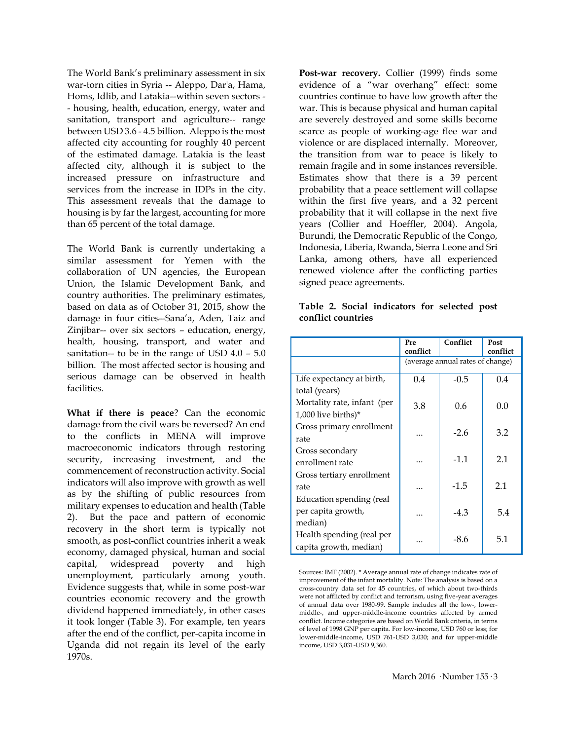The World Bank's preliminary assessment in six war-torn cities in Syria -- Aleppo, Dar'a, Hama, Homs, Idlib, and Latakia--within seven sectors - - housing, health, education, energy, water and sanitation, transport and agriculture-- range between USD 3.6 - 4.5 billion. Aleppo is the most affected city accounting for roughly 40 percent of the estimated damage. Latakia is the least affected city, although it is subject to the increased pressure on infrastructure and services from the increase in IDPs in the city. This assessment reveals that the damage to housing is by far the largest, accounting for more than 65 percent of the total damage.

The World Bank is currently undertaking a similar assessment for Yemen with the collaboration of UN agencies, the European Union, the Islamic Development Bank, and country authorities. The preliminary estimates, based on data as of October 31, 2015, show the damage in four cities--Sana'a, Aden, Taiz and Zinjibar-- over six sectors – education, energy, health, housing, transport, and water and sanitation-- to be in the range of USD 4.0 – 5.0 billion. The most affected sector is housing and serious damage can be observed in health facilities.

**What if there is peace**? Can the economic damage from the civil wars be reversed? An end to the conflicts in MENA will improve macroeconomic indicators through restoring security, increasing investment, and the commencement of reconstruction activity. Social indicators will also improve with growth as well as by the shifting of public resources from military expenses to education and health (Table 2). But the pace and pattern of economic recovery in the short term is typically not smooth, as post-conflict countries inherit a weak economy, damaged physical, human and social capital, widespread poverty and high unemployment, particularly among youth. Evidence suggests that, while in some post-war countries economic recovery and the growth dividend happened immediately, in other cases it took longer (Table 3). For example, ten years after the end of the conflict, per-capita income in Uganda did not regain its level of the early 1970s.

Post-war recovery. Collier (1999) finds some evidence of a "war overhang" effect: some countries continue to have low growth after the war. This is because physical and human capital are severely destroyed and some skills become scarce as people of working-age flee war and violence or are displaced internally. Moreover, the transition from war to peace is likely to remain fragile and in some instances reversible. Estimates show that there is a 39 percent probability that a peace settlement will collapse within the first five years, and a 32 percent probability that it will collapse in the next five years (Collier and Hoeffler, 2004). Angola, Burundi, the Democratic Republic of the Congo, Indonesia, Liberia, Rwanda, Sierra Leone and Sri Lanka, among others, have all experienced renewed violence after the conflicting parties signed peace agreements.

|                             | Pre                              | Conflict | Post     |  |
|-----------------------------|----------------------------------|----------|----------|--|
|                             | conflict                         |          | conflict |  |
|                             | (average annual rates of change) |          |          |  |
| Life expectancy at birth,   | 0.4                              | $-0.5$   | 0.4      |  |
| total (years)               |                                  |          |          |  |
| Mortality rate, infant (per | 3.8                              | 0.6      | 0.0      |  |
| 1,000 live births)*         |                                  |          |          |  |
| Gross primary enrollment    |                                  | $-2.6$   | 3.2      |  |
| rate                        |                                  |          |          |  |
| Gross secondary             |                                  |          |          |  |
| enrollment rate             |                                  | $-1.1$   | 2.1      |  |
| Gross tertiary enrollment   |                                  |          |          |  |
| rate                        |                                  | $-1.5$   | 2.1      |  |
| Education spending (real    |                                  |          |          |  |
| per capita growth,          |                                  | $-4.3$   | 5.4      |  |
| median)                     |                                  |          |          |  |
| Health spending (real per   |                                  | $-8.6$   | 5.1      |  |
| capita growth, median)      |                                  |          |          |  |

**Table 2. Social indicators for selected post conflict countries**

Sources: IMF (2002). \* Average annual rate of change indicates rate of improvement of the infant mortality. Note: The analysis is based on a cross-country data set for 45 countries, of which about two-thirds were not afflicted by conflict and terrorism, using five-year averages of annual data over 1980-99. Sample includes all the low-, lowermiddle-, and upper-middle-income countries affected by armed conflict. Income categories are based on World Bank criteria, in terms of level of 1998 GNP per capita. For low-income, USD 760 or less; for lower-middle-income, USD 761-USD 3,030; and for upper-middle income, USD 3,031-USD 9,360.